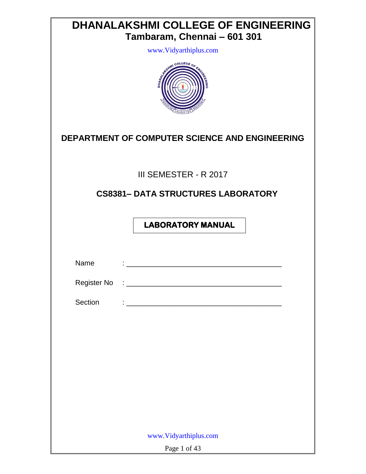| <b>DHANALAKSHMI COLLEGE OF ENGINEERING</b><br>Tambaram, Chennai - 601 301<br>www.Vidyarthiplus.com<br>COLLEGE |  |  |  |  |  |
|---------------------------------------------------------------------------------------------------------------|--|--|--|--|--|
| DEPARTMENT OF COMPUTER SCIENCE AND ENGINEERING                                                                |  |  |  |  |  |
| III SEMESTER - R 2017                                                                                         |  |  |  |  |  |
| <b>CS8381- DATA STRUCTURES LABORATORY</b>                                                                     |  |  |  |  |  |
| <b>LABORATORY MANUAL</b>                                                                                      |  |  |  |  |  |
| Name                                                                                                          |  |  |  |  |  |
| Register No                                                                                                   |  |  |  |  |  |
| Section<br><u> 1980 - Johann John Stone, mars eta biztanleria (h. 1980).</u>                                  |  |  |  |  |  |
|                                                                                                               |  |  |  |  |  |
|                                                                                                               |  |  |  |  |  |
|                                                                                                               |  |  |  |  |  |
|                                                                                                               |  |  |  |  |  |
|                                                                                                               |  |  |  |  |  |
|                                                                                                               |  |  |  |  |  |
| www.Vidyarthiplus.com                                                                                         |  |  |  |  |  |
| Page 1 of 43                                                                                                  |  |  |  |  |  |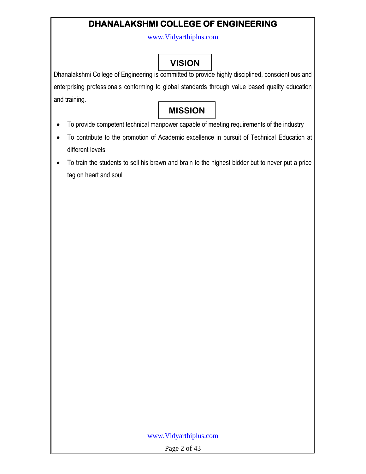## **DHANALAKSHMI COLLEGE OF ENGINEERING**

www.Vidyarthiplus.com

# **VISION**

Dhanalakshmi College of Engineering is committed to provide highly disciplined, conscientious and enterprising professionals conforming to global standards through value based quality education and training.

# **MISSION**

- To provide competent technical manpower capable of meeting requirements of the industry
- To contribute to the promotion of Academic excellence in pursuit of Technical Education at different levels
- To train the students to sell his brawn and brain to the highest bidder but to never put a price tag on heart and soul

### www.Vidyarthiplus.com

Page 2 of 43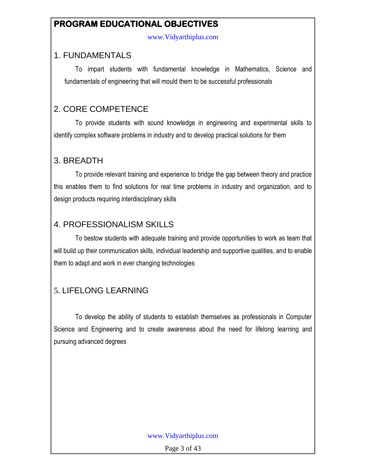### **PROGRAM EDUCATIONAL OBJECTIVES**

www.Vidyarthiplus.com

### 1. FUNDAMENTALS

To impart students with fundamental knowledge in Mathematics, Science and fundamentals of engineering that will mould them to be successful professionals

### 2. CORE COMPETENCE

To provide students with sound knowledge in engineering and experimental skills to identify complex software problems in industry and to develop practical solutions for them

### 3. BREADTH

To provide relevant training and experience to bridge the gap between theory and practice this enables them to find solutions for real time problems in industry and organization, and to design products requiring interdisciplinary skills

### 4. PROFESSIONALISM SKILLS

To bestow students with adequate training and provide opportunities to work as team that will build up their communication skills, individual leadership and supportive qualities, and to enable them to adapt and work in ever changing technologies

## 5. LIFELONG LEARNING

To develop the ability of students to establish themselves as professionals in Computer Science and Engineering and to create awareness about the need for lifelong learning and pursuing advanced degrees

### www.Vidyarthiplus.com

Page 3 of 43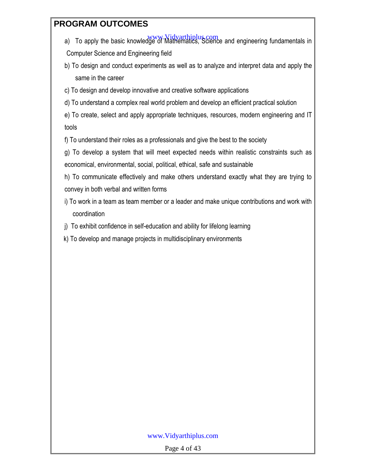### **PROGRAM OUTCOMES**

- a) To apply the basic knowledge of Mathematics, Science and engineering fundamentals in Computer Science and Engineering field
- b) To design and conduct experiments as well as to analyze and interpret data and apply the same in the career
- c) To design and develop innovative and creative software applications
- d) To understand a complex real world problem and develop an efficient practical solution

e) To create, select and apply appropriate techniques, resources, modern engineering and IT tools

f) To understand their roles as a professionals and give the best to the society

g) To develop a system that will meet expected needs within realistic constraints such as economical, environmental, social, political, ethical, safe and sustainable

h) To communicate effectively and make others understand exactly what they are trying to convey in both verbal and written forms

- i) To work in a team as team member or a leader and make unique contributions and work with coordination
- j) To exhibit confidence in self-education and ability for lifelong learning
- k) To develop and manage projects in multidisciplinary environments

### www.Vidyarthiplus.com

Page 4 of 43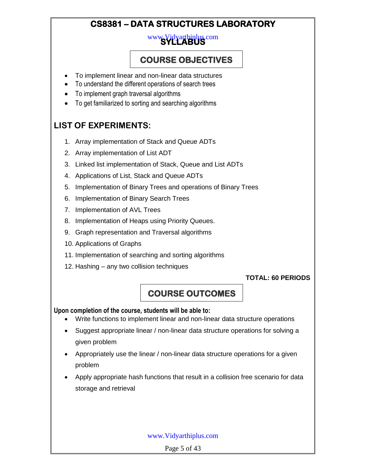## **CS8381 – DATA STRUCTURES LABORATORY**

# **SYLLABUS**  www.Vidyarthiplus.com

## **COURSE OBJECTIVES**

- To implement linear and non-linear data structures
- To understand the different operations of search trees
- To implement graph traversal algorithms
- To get familiarized to sorting and searching algorithms

## **LIST OF EXPERIMENTS:**

- 1. Array implementation of Stack and Queue ADTs
- 2. Array implementation of List ADT
- 3. Linked list implementation of Stack, Queue and List ADTs
- 4. Applications of List, Stack and Queue ADTs
- 5. Implementation of Binary Trees and operations of Binary Trees
- 6. Implementation of Binary Search Trees
- 7. Implementation of AVL Trees
- 8. Implementation of Heaps using Priority Queues.
- 9. Graph representation and Traversal algorithms
- 10. Applications of Graphs
- 11. Implementation of searching and sorting algorithms
- 12. Hashing any two collision techniques

### **TOTAL: 60 PERIODS**

## **COURSE OUTCOMES**

### **Upon completion of the course, students will be able to:**

- Write functions to implement linear and non-linear data structure operations
- Suggest appropriate linear / non-linear data structure operations for solving a given problem
- Appropriately use the linear / non-linear data structure operations for a given problem
- Apply appropriate hash functions that result in a collision free scenario for data storage and retrieval

### www.Vidyarthiplus.com

Page 5 of 43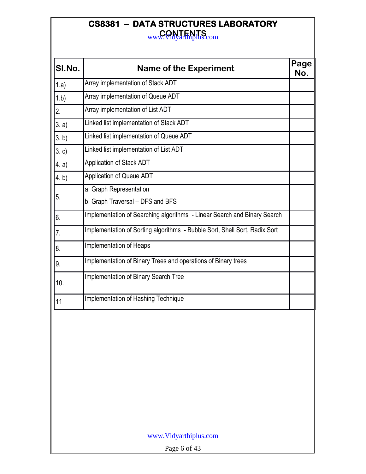# **CS8381 – DATA STRUCTURES LABORATORY**

**CONTENTS** www.Vidyarthiplus.com

| SI.No. | <b>Name of the Experiment</b>                                              | Page<br>No. |
|--------|----------------------------------------------------------------------------|-------------|
| 1.a)   | Array implementation of Stack ADT                                          |             |
| 1.b)   | Array implementation of Queue ADT                                          |             |
| 2.     | Array implementation of List ADT                                           |             |
| 3. a)  | Linked list implementation of Stack ADT                                    |             |
| 3. b)  | Linked list implementation of Queue ADT                                    |             |
| 3.c    | Linked list implementation of List ADT                                     |             |
| 4. a)  | <b>Application of Stack ADT</b>                                            |             |
| 4. b)  | <b>Application of Queue ADT</b>                                            |             |
| 5.     | a. Graph Representation                                                    |             |
|        | b. Graph Traversal - DFS and BFS                                           |             |
| 6.     | Implementation of Searching algorithms - Linear Search and Binary Search   |             |
| 7.     | Implementation of Sorting algorithms - Bubble Sort, Shell Sort, Radix Sort |             |
| 8.     | Implementation of Heaps                                                    |             |
| 9.     | Implementation of Binary Trees and operations of Binary trees              |             |
| 10.    | Implementation of Binary Search Tree                                       |             |
| 11     | Implementation of Hashing Technique                                        |             |
|        |                                                                            |             |

Page 6 of 43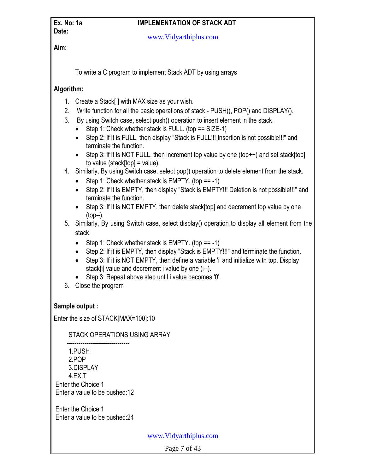**Date:**

### **Ex. No: 1a IMPLEMENTATION OF STACK ADT**

www.Vidyarthiplus.com

**Aim:**

To write a C program to implement Stack ADT by using arrays

### **Algorithm:**

- 1. Create a Stack[ ] with MAX size as your wish.
- 2. Write function for all the basic operations of stack PUSH(), POP() and DISPLAY().
- 3. By using Switch case, select push() operation to insert element in the stack.
	- $\bullet$  Step 1: Check whether stack is FULL. (top == SIZE-1)
	- Step 2: If it is FULL, then display "Stack is FULL!!! Insertion is not possible!!!" and terminate the function.
	- Step 3: If it is NOT FULL, then increment top value by one (top++) and set stack[top] to value (stack[top] = value).
- 4. Similarly, By using Switch case, select pop() operation to delete element from the stack.
	- Step 1: Check whether stack is EMPTY. (top  $== -1$ )
	- Step 2: If it is EMPTY, then display "Stack is EMPTY!!! Deletion is not possible!!!" and terminate the function.
	- Step 3: If it is NOT EMPTY, then delete stack[top] and decrement top value by one (top--).
- 5. Similarly, By using Switch case, select display() operation to display all element from the stack.
	- Step 1: Check whether stack is EMPTY. (top  $== -1$ )
	- Step 2: If it is EMPTY, then display "Stack is EMPTY!!!" and terminate the function.
	- Step 3: If it is NOT EMPTY, then define a variable 'i' and initialize with top. Display stack[i] value and decrement i value by one (i--).
	- Step 3: Repeat above step until i value becomes '0'.
- 6. Close the program

### **Sample output :**

Enter the size of STACK[MAX=100]:10

### STACK OPERATIONS USING ARRAY

 -------------------------------- 1.PUSH 2.POP 3.DISPLAY 4.EXIT Enter the Choice:1 Enter a value to be pushed:12

Enter the Choice:1 Enter a value to be pushed:24

www.Vidyarthiplus.com

Page 7 of 43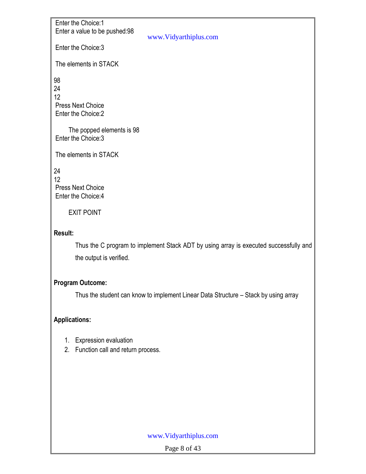Enter the Choice:1 Enter a value to be pushed:98

www.Vidyarthiplus.com

Enter the Choice:3

The elements in STACK

98 24 12 Press Next Choice Enter the Choice:2

 The popped elements is 98 Enter the Choice:3

The elements in STACK

24 12 Press Next Choice Enter the Choice:4

EXIT POINT

### **Result:**

Thus the C program to implement Stack ADT by using array is executed successfully and the output is verified.

### **Program Outcome:**

Thus the student can know to implement Linear Data Structure – Stack by using array

### **Applications:**

- 1. Expression evaluation
- 2. Function call and return process.

### www.Vidyarthiplus.com

Page 8 of 43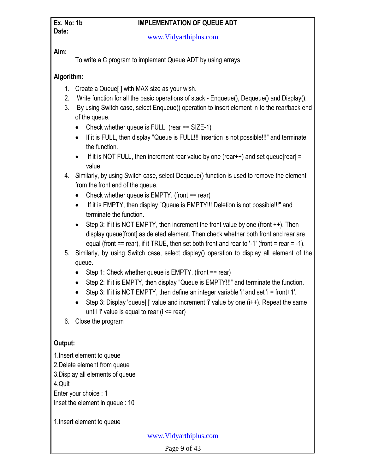# **Date:**

### **Ex. No: 1b IMPLEMENTATION OF QUEUE ADT**

www.Vidyarthiplus.com

### **Aim:**

To write a C program to implement Queue ADT by using arrays

### **Algorithm:**

- 1. Create a Queue[ ] with MAX size as your wish.
- 2. Write function for all the basic operations of stack Enqueue(), Dequeue() and Display().
- 3. By using Switch case, select Enqueue() operation to insert element in to the rear/back end of the queue.
	- Check whether queue is FULL. (rear == SIZE-1)
	- If it is FULL, then display "Queue is FULL!!! Insertion is not possible!!!" and terminate the function.
	- If it is NOT FULL, then increment rear value by one (rear $++$ ) and set queue[rear] = value
- 4. Similarly, by using Switch case, select Dequeue() function is used to remove the element from the front end of the queue.
	- Check whether queue is  $EMPTY$ . (front  $==$  rear)
	- If it is EMPTY, then display "Queue is EMPTY!!! Deletion is not possible!!!" and terminate the function.
	- Step 3: If it is NOT EMPTY, then increment the front value by one (front  $++$ ). Then display queue[front] as deleted element. Then check whether both front and rear are equal (front  $==$  rear), if it TRUE, then set both front and rear to '-1' (front  $=$  rear  $=$  -1).
- 5. Similarly, by using Switch case, select display() operation to display all element of the queue.
	- $\bullet$  Step 1: Check whether queue is EMPTY. (front == rear)
	- Step 2: If it is EMPTY, then display "Queue is EMPTY!!!" and terminate the function.
	- $\bullet$  Step 3: If it is NOT EMPTY, then define an integer variable 'i' and set 'i = front+1'.
	- $\bullet$  Step 3: Display 'queue[i]' value and increment 'i' value by one (i++). Repeat the same until 'i' value is equal to rear  $(i \leq$  rear)
- 6. Close the program

### **Output:**

- 1.Insert element to queue
- 2.Delete element from queue
- 3.Display all elements of queue

4.Quit

Enter your choice : 1 Inset the element in queue : 10

1.Insert element to queue

www.Vidyarthiplus.com

Page 9 of 43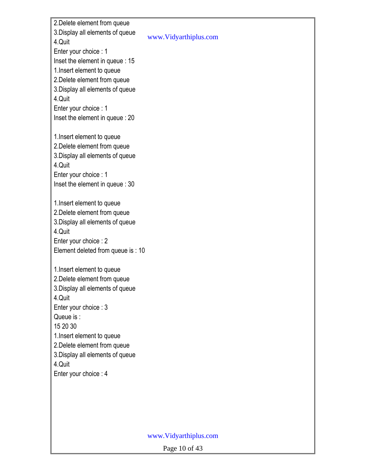2.Delete element from queue 3.Display all elements of queue 4.Quit Enter your choice : 1 Inset the element in queue : 15 1.Insert element to queue 2.Delete element from queue 3.Display all elements of queue 4.Quit Enter your choice : 1 Inset the element in queue : 20 1.Insert element to queue 2.Delete element from queue 3.Display all elements of queue 4.Quit Enter your choice : 1 Inset the element in queue : 30 1.Insert element to queue 2.Delete element from queue 3.Display all elements of queue 4.Quit Enter your choice : 2 Element deleted from queue is : 10 1.Insert element to queue 2.Delete element from queue 3.Display all elements of queue 4.Quit Enter your choice : 3 Queue is : 15 20 30 1.Insert element to queue 2.Delete element from queue 3.Display all elements of queue 4.Quit Enter your choice : 4

#### www.Vidyarthiplus.com

www.Vidyarthiplus.com

Page 10 of 43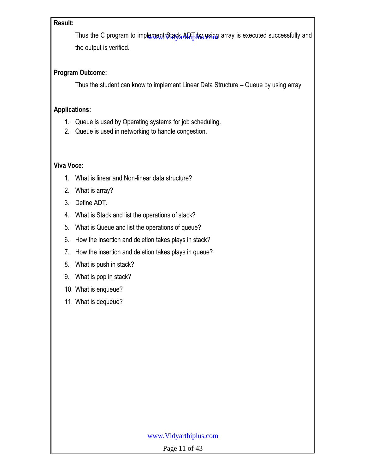### **Result:**

Thus the C program to implement Stack ADT by using array is executed successfully and the output is verified.

### **Program Outcome:**

Thus the student can know to implement Linear Data Structure – Queue by using array

### **Applications:**

- 1. Queue is used by Operating systems for job scheduling.
- 2. Queue is used in networking to handle congestion.

### **Viva Voce:**

- 1. What is linear and Non-linear data structure?
- 2. What is array?
- 3. Define ADT.
- 4. What is Stack and list the operations of stack?
- 5. What is Queue and list the operations of queue?
- 6. How the insertion and deletion takes plays in stack?
- 7. How the insertion and deletion takes plays in queue?
- 8. What is push in stack?
- 9. What is pop in stack?
- 10. What is enqueue?
- 11. What is dequeue?

### www.Vidyarthiplus.com

Page 11 of 43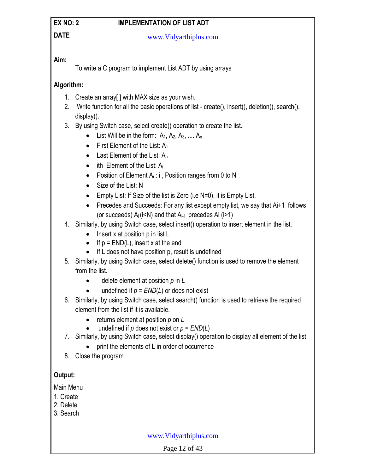### **EX NO: 2 IMPLEMENTATION OF LIST ADT**

### **DATE**

www.Vidyarthiplus.com

### **Aim:**

To write a C program to implement List ADT by using arrays

### **Algorithm:**

- 1. Create an array[ ] with MAX size as your wish.
- 2. Write function for all the basic operations of list create(), insert(), deletion(), search(), display().
- 3. By using Switch case, select create() operation to create the list.
	- List Will be in the form:  $A_1, A_2, A_3, \ldots, A_n$
	- First Element of the List:  $A_1$
	- Last Element of the List: A<sub>n</sub>
	- $\bullet$  ith Element of the List:  $A_i$
	- Position of Element  $A_i$ : i, Position ranges from 0 to N
	- Size of the List: N
	- $\bullet$  Empty List: If Size of the list is Zero (i.e N=0), it is Empty List.
	- Precedes and Succeeds: For any list except empty list, we say that Ai+1 follows (or succeeds)  $A_i$  (i<N) and that  $A_{i-1}$  precedes Ai (i>1)
- 4. Similarly, by using Switch case, select insert() operation to insert element in the list.
	- $\bullet$  Insert x at position p in list L
	- If  $p = END(L)$ , insert x at the end
	- $\bullet$  If L does not have position p, result is undefined
- 5. Similarly, by using Switch case, select delete() function is used to remove the element from the list.
	- delete element at position *p* in *L*
	- $\bullet$  undefined if  $p = END(L)$  or does not exist
- 6. Similarly, by using Switch case, select search() function is used to retrieve the required element from the list if it is available.
	- returns element at position *p* on *L*
	- $\bullet$  undefined if *p* does not exist or  $p = END(L)$
- 7. Similarly, by using Switch case, select display() operation to display all element of the list
	- print the elements of L in order of occurrence
- 8. Close the program

### **Output:**

Main Menu

- 1. Create
- 2. Delete
- 3. Search

www.Vidyarthiplus.com

Page 12 of 43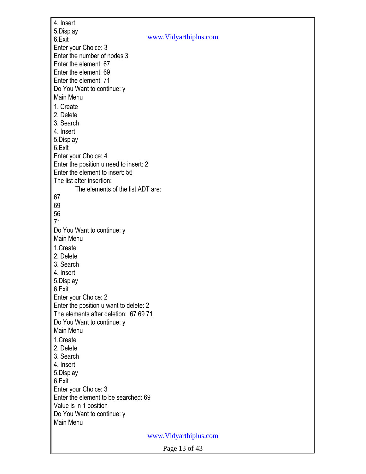4. Insert 5.Display 6.Exit Enter your Choice: 3 Enter the number of nodes 3 Enter the element: 67 Enter the element: 69 Enter the element: 71 Do You Want to continue: y Main Menu 1. Create 2. Delete 3. Search 4. Insert 5.Display 6.Exit Enter your Choice: 4 Enter the position u need to insert: 2 Enter the element to insert: 56 The list after insertion: The elements of the list ADT are: 67 69 56 71 Do You Want to continue: y Main Menu 1.Create 2. Delete 3. Search 4. Insert 5.Display 6.Exit Enter your Choice: 2 Enter the position u want to delete: 2 The elements after deletion: 67 69 71 Do You Want to continue: y Main Menu 1.Create 2. Delete 3. Search 4. Insert 5.Display 6.Exit Enter your Choice: 3 Enter the element to be searched: 69 Value is in 1 position Do You Want to continue: y Main Menu www.Vidyarthiplus.com www.Vidyarthiplus.com

Page 13 of 43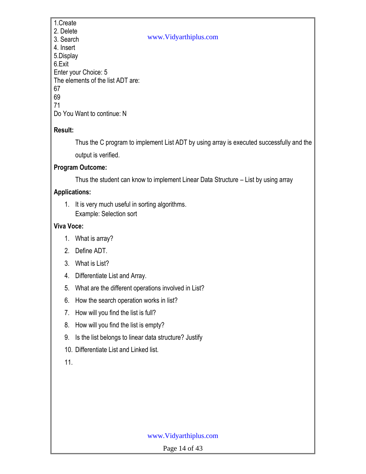1.Create 2. Delete 3. Search 4. Insert 5.Display 6.Exit Enter your Choice: 5 The elements of the list ADT are: 67 69 71 Do You Want to continue: N

### **Result:**

Thus the C program to implement List ADT by using array is executed successfully and the output is verified.

### **Program Outcome:**

Thus the student can know to implement Linear Data Structure – List by using array

www.Vidyarthiplus.com

### **Applications:**

1. It is very much useful in sorting algorithms. Example: Selection sort

### **Viva Voce:**

- 1. What is array?
- 2. Define ADT.
- 3. What is List?
- 4. Differentiate List and Array.
- 5. What are the different operations involved in List?
- 6. How the search operation works in list?
- 7. How will you find the list is full?
- 8. How will you find the list is empty?
- 9. Is the list belongs to linear data structure? Justify
- 10. Differentiate List and Linked list.
- 11.

### www.Vidyarthiplus.com

Page 14 of 43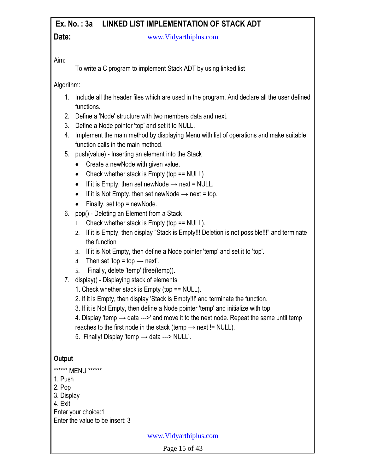#### **Ex. No. : 3a LINKED LIST IMPLEMENTATION OF STACK ADT Date:** www.Vidyarthiplus.com

Aim:

To write a C program to implement Stack ADT by using linked list

Algorithm:

- 1. Include all the header files which are used in the program. And declare all the user defined functions.
- 2. Define a 'Node' structure with two members data and next.
- 3. Define a Node pointer 'top' and set it to NULL.
- 4. Implement the main method by displaying Menu with list of operations and make suitable function calls in the main method.
- 5. push(value) Inserting an element into the Stack
	- Create a newNode with given value.
	- Check whether stack is  $Empty$  (top  $== NULL$ )
	- If it is Empty, then set newNode  $\rightarrow$  next = NULL.
	- If it is Not Empty, then set newNode  $\rightarrow$  next = top.
	- $\bullet$  Finally, set top = newNode.
- 6. pop() Deleting an Element from a Stack
	- 1. Check whether stack is Empty (top == NULL).
	- 2. If it is Empty, then display "Stack is Empty!!! Deletion is not possible!!!" and terminate the function
	- 3. If it is Not Empty, then define a Node pointer 'temp' and set it to 'top'.
	- 4. Then set 'top = top  $\rightarrow$  next'.
	- 5. Finally, delete 'temp' (free(temp)).
- 7. display() Displaying stack of elements
	- 1. Check whether stack is Empty (top == NULL).
	- 2. If it is Empty, then display 'Stack is Empty!!!' and terminate the function.
	- 3. If it is Not Empty, then define a Node pointer 'temp' and initialize with top.
	- 4. Display 'temp  $\rightarrow$  data --->' and move it to the next node. Repeat the same until temp
	- reaches to the first node in the stack (temp  $\rightarrow$  next != NULL).
	- 5. Finally! Display 'temp  $\rightarrow$  data ---> NULL'.

### **Output**

- \*\*\*\*\*\* MENU \*\*\*\*\*\*
- 1. Push
- 2. Pop
- 3. Display
- 4. Exit
- Enter your choice:1
- Enter the value to be insert: 3

www.Vidyarthiplus.com

Page 15 of 43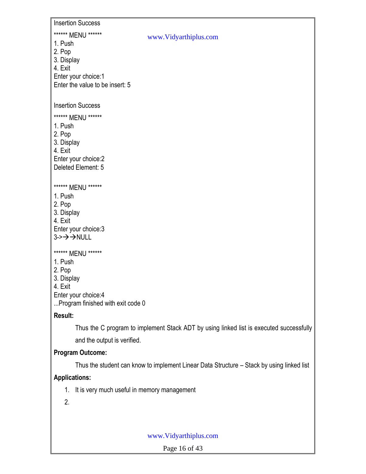Insertion Success

### \*\*\*\*\*\* MENU \*\*\*\*\*\*

- 1. Push
- 2. Pop
- 3. Display
- 4. Exit

Enter your choice:1 Enter the value to be insert: 5

### Insertion Success

\*\*\*\*\*\* MENU \*\*\*\*\*\*

- 1. Push
- 2. Pop
- 3. Display
- 4. Exit

Enter your choice:2 Deleted Element: 5

### \*\*\*\*\*\* MENU \*\*\*\*\*\*

- 1. Push
- 2. Pop
- 3. Display
- 4. Exit

Enter your choice:3  $3 \rightarrow \rightarrow \rightarrow$  NULL

### \*\*\*\*\*\* MENU \*\*\*\*\*\*

- 1. Push
- 2. Pop
- 3. Display
- 4. Exit
- Enter your choice:4

...Program finished with exit code 0

### **Result:**

Thus the C program to implement Stack ADT by using linked list is executed successfully and the output is verified.

www.Vidyarthiplus.com

### **Program Outcome:**

Thus the student can know to implement Linear Data Structure – Stack by using linked list

### **Applications:**

- 1. It is very much useful in memory management
- 2.

### www.Vidyarthiplus.com

Page 16 of 43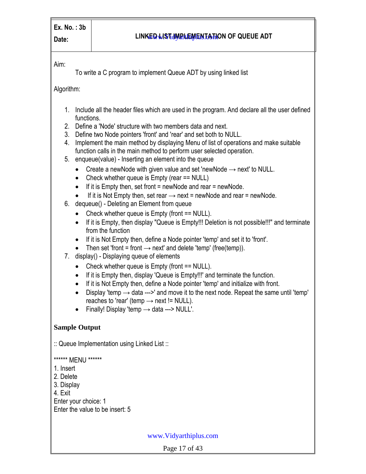### **Date: LINKED LINKED LINKED LIGHT Date: LINKED LINKED LIGHT**

Aim:

To write a C program to implement Queue ADT by using linked list

Algorithm:

- 1. Include all the header files which are used in the program. And declare all the user defined functions.
- 2. Define a 'Node' structure with two members data and next.
- 3. Define two Node pointers 'front' and 'rear' and set both to NULL.
- 4. Implement the main method by displaying Menu of list of operations and make suitable function calls in the main method to perform user selected operation.
- 5. enqueue(value) Inserting an element into the queue
	- Create a newNode with given value and set 'newNode → next' to NULL.
	- Check whether queue is Empty (rear == NULL)
	- $\bullet$  If it is Empty then, set front = newNode and rear = newNode.
	- $\bullet$  If it is Not Empty then, set rear  $\rightarrow$  next = newNode and rear = newNode.
- 6. dequeue() Deleting an Element from queue
	- Check whether queue is Empty (front == NULL).
	- If it is Empty, then display "Queue is Empty!!! Deletion is not possible!!!" and terminate from the function
	- If it is Not Empty then, define a Node pointer 'temp' and set it to 'front'.
	- Then set 'front = front  $\rightarrow$  next' and delete 'temp' (free(temp)).
- 7. display() Displaying queue of elements
	- Check whether queue is Empty (front == NULL).
	- If it is Empty then, display 'Queue is Empty!!!' and terminate the function.
	- If it is Not Empty then, define a Node pointer 'temp' and initialize with front.
	- $\bullet$  Display 'temp  $\rightarrow$  data --->' and move it to the next node. Repeat the same until 'temp' reaches to 'rear' (temp  $\rightarrow$  next != NULL).
	- $\bullet$  Finally! Display 'temp  $\rightarrow$  data ---> NULL'.

### **Sample Output**

:: Queue Implementation using Linked List ::

\*\*\*\*\*\* MENU \*\*\*\*\*\*

- 1. Insert
- 2. Delete
- 3. Display
- 4. Exit
- Enter your choice: 1
- Enter the value to be insert: 5

www.Vidyarthiplus.com

Page 17 of 43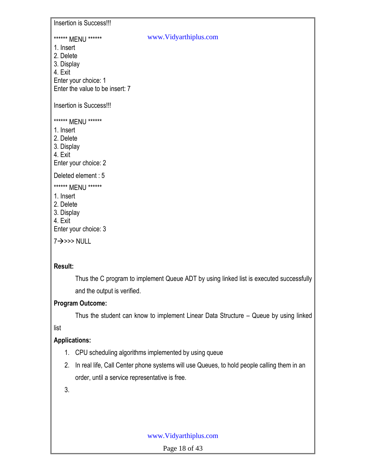Insertion is Success!!!

#### \*\*\*\*\*\* MENU \*\*\*\*\*\*

- 1. Insert
- 2. Delete
- 3. Display
- 4. Exit

Enter your choice: 1

Enter the value to be insert: 7

Insertion is Success!!!

\*\*\*\*\*\* MENU \*\*\*\*\*\*

- 1. Insert
- 2. Delete
- 3. Display
- 4. Exit

Enter your choice: 2

Deleted element : 5

\*\*\*\*\*\* MENU \*\*\*\*\*\*

- 1. Insert
- 2. Delete
- 3. Display
- 4. Exit

Enter your choice: 3

 $7 \rightarrow >> NULL$ 

### **Result:**

Thus the C program to implement Queue ADT by using linked list is executed successfully and the output is verified.

www.Vidyarthiplus.com

### **Program Outcome:**

Thus the student can know to implement Linear Data Structure – Queue by using linked

list

### **Applications:**

- 1. CPU scheduling algorithms implemented by using queue
- 2. In real life, Call Center phone systems will use Queues, to hold people calling them in an order, until a service representative is free.

3.

### www.Vidyarthiplus.com

Page 18 of 43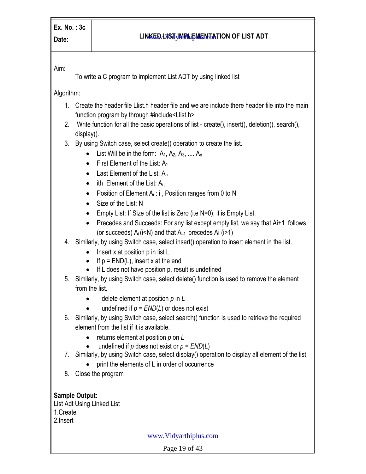### **Date: LINKED LINKED LIGHT ION OF LIST ADT**

Aim:

To write a C program to implement List ADT by using linked list

Algorithm:

- 1. Create the header file Llist.h header file and we are include there header file into the main function program by through #include<Llist.h>
- 2. Write function for all the basic operations of list create(), insert(), deletion(), search(), display().
- 3. By using Switch case, select create() operation to create the list.
	- List Will be in the form:  $A_1, A_2, A_3, \ldots, A_n$
	- $\bullet$  First Element of the List: A<sub>1</sub>
	- Last Element of the List:  $A_n$
	- $\bullet$  ith Element of the List:  $A_i$
	- Position of Element  $A_i : i$ , Position ranges from 0 to N
	- Size of the List: N
	- $\bullet$  Empty List: If Size of the list is Zero (i.e N=0), it is Empty List.
	- Precedes and Succeeds: For any list except empty list, we say that Ai+1 follows (or succeeds)  $A_i$  (i<N) and that  $A_{i-1}$  precedes Ai (i>1)
- 4. Similarly, by using Switch case, select insert() operation to insert element in the list.
	- $\bullet$  Insert x at position p in list L
	- If  $p = END(L)$ , insert x at the end
	- $\bullet$  If L does not have position p, result is undefined
- 5. Similarly, by using Switch case, select delete() function is used to remove the element from the list.
	- delete element at position *p* in *L*
	- $\bullet$  undefined if  $p = END(L)$  or does not exist
- 6. Similarly, by using Switch case, select search() function is used to retrieve the required element from the list if it is available.
	- returns element at position *p* on *L*
	- undefined if  $p$  does not exist or  $p = END(L)$
- 7. Similarly, by using Switch case, select display() operation to display all element of the list
	- print the elements of L in order of occurrence
- 8. Close the program

**Sample Output:** List Adt Using Linked List 1.Create 2.Insert

www.Vidyarthiplus.com

Page 19 of 43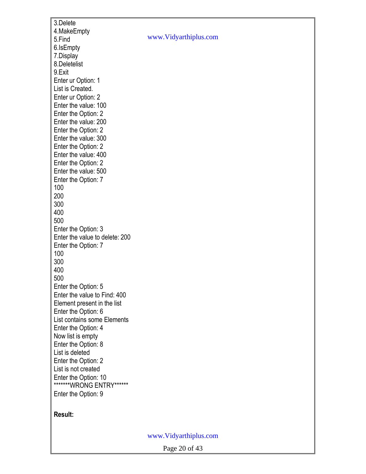3.Delete 4.MakeEmpty 5.Find 6.IsEmpty 7.Display 8.Deletelist 9.Exit Enter ur Option: 1 List is Created. Enter ur Option: 2 Enter the value: 100 Enter the Option: 2 Enter the value: 200 Enter the Option: 2 Enter the value: 300 Enter the Option: 2 Enter the value: 400 Enter the Option: 2 Enter the value: 500 Enter the Option: 7 100 200 300 400 500 Enter the Option: 3 Enter the value to delete: 200 Enter the Option: 7 100 300 400 500 Enter the Option: 5 Enter the value to Find: 400 Element present in the list Enter the Option: 6 List contains some Elements Enter the Option: 4 Now list is empty Enter the Option: 8 List is deleted Enter the Option: 2 List is not created Enter the Option: 10 \*\*\*\*\*\*\*WRONG ENTRY\*\*\*\*\*\* Enter the Option: 9

### **Result:**

www.Vidyarthiplus.com

www.Vidyarthiplus.com

Page 20 of 43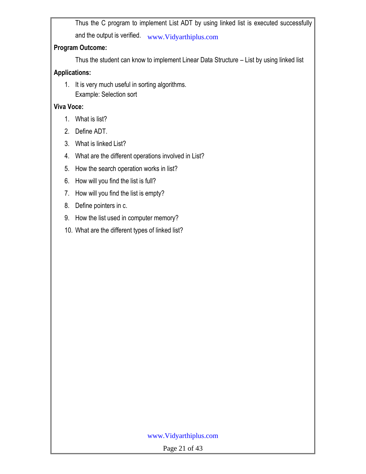Thus the C program to implement List ADT by using linked list is executed successfully and the output is verified. www.Vidyarthiplus.com

### **Program Outcome:**

Thus the student can know to implement Linear Data Structure – List by using linked list

### **Applications:**

1. It is very much useful in sorting algorithms. Example: Selection sort

### **Viva Voce:**

- 1. What is list?
- 2. Define ADT.
- 3. What is linked List?
- 4. What are the different operations involved in List?
- 5. How the search operation works in list?
- 6. How will you find the list is full?
- 7. How will you find the list is empty?
- 8. Define pointers in c.
- 9. How the list used in computer memory?
- 10. What are the different types of linked list?

### www.Vidyarthiplus.com

Page 21 of 43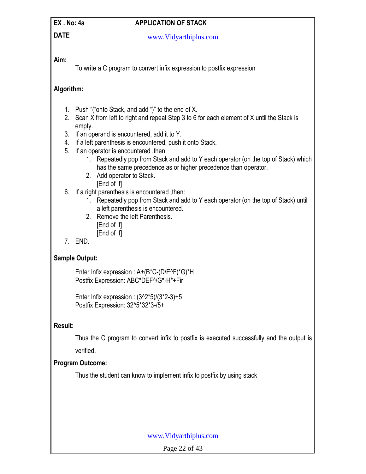### **EX. No: 4a APPLICATION OF STACK**

**DATE**

www.Vidyarthiplus.com

### **Aim:**

To write a C program to convert infix expression to postfix expression

### **Algorithm:**

- 1. Push "("onto Stack, and add ")" to the end of X.
- 2. Scan X from left to right and repeat Step 3 to 6 for each element of X until the Stack is empty.
- 3. If an operand is encountered, add it to Y.
- 4. If a left parenthesis is encountered, push it onto Stack.
- 5. If an operator is encountered, then:
	- 1. Repeatedly pop from Stack and add to Y each operator (on the top of Stack) which has the same precedence as or higher precedence than operator.
	- 2. Add operator to Stack. [End of If]
- 6. If a right parenthesis is encountered ,then:
	- 1. Repeatedly pop from Stack and add to Y each operator (on the top of Stack) until a left parenthesis is encountered.
	- 2. Remove the left Parenthesis. **IEnd of Ifl** 
		- [End of If]
- 7. END.

### **Sample Output:**

Enter Infix expression : A+(B\*C-(D/E^F)\*G)\*H Postfix Expression: ABC\*DEF^/G\*-H\*+Fir

Enter Infix expression :  $(3^22^*5)/(3^*2-3)+5$ Postfix Expression: 32^5\*32\*3-/5+

### **Result:**

Thus the C program to convert infix to postfix is executed successfully and the output is

verified.

### **Program Outcome:**

Thus the student can know to implement infix to postfix by using stack

### www.Vidyarthiplus.com

Page 22 of 43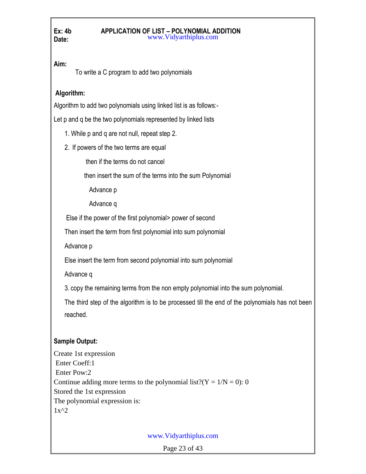#### **Ex: 4b APPLICATION OF LIST – POLYNOMIAL ADDITION Date:** www.Vidyarthiplus.com

**Aim:**

To write a C program to add two polynomials

### **Algorithm:**

Algorithm to add two polynomials using linked list is as follows:-

Let p and q be the two polynomials represented by linked lists

1. While p and q are not null, repeat step 2.

2. If powers of the two terms are equal

then if the terms do not cancel

then insert the sum of the terms into the sum Polynomial

Advance p

Advance q

Else if the power of the first polynomial> power of second

Then insert the term from first polynomial into sum polynomial

Advance p

Else insert the term from second polynomial into sum polynomial

Advance q

3. copy the remaining terms from the non empty polynomial into the sum polynomial.

The third step of the algorithm is to be processed till the end of the polynomials has not been reached.

### **Sample Output:**

Create 1st expression Enter Coeff:1 Enter Pow:2 Continue adding more terms to the polynomial list?( $Y = 1/N = 0$ ): 0 Stored the 1st expression The polynomial expression is:  $1x^2$ 

www.Vidyarthiplus.com

Page 23 of 43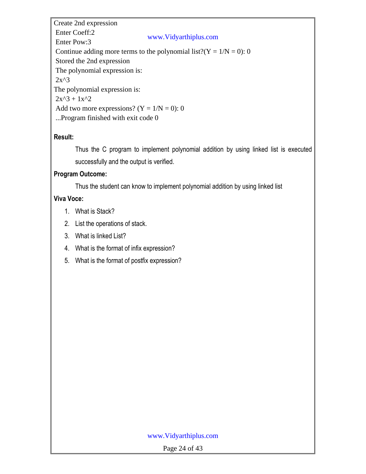Create 2nd expression Enter Coeff:2 Enter Pow:3 Continue adding more terms to the polynomial list?( $Y = 1/N = 0$ ): 0 Stored the 2nd expression The polynomial expression is:  $2x^3$ The polynomial expression is:  $2x^3 + 1x^2$ Add two more expressions?  $(Y = 1/N = 0)$ : 0 ...Program finished with exit code 0 www.Vidyarthiplus.com

### **Result:**

Thus the C program to implement polynomial addition by using linked list is executed successfully and the output is verified.

### **Program Outcome:**

Thus the student can know to implement polynomial addition by using linked list

### **Viva Voce:**

- 1. What is Stack?
- 2. List the operations of stack.
- 3. What is linked List?
- 4. What is the format of infix expression?
- 5. What is the format of postfix expression?

### www.Vidyarthiplus.com

Page 24 of 43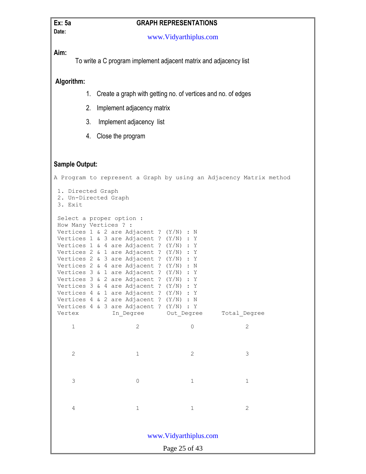# **Date:**

### **Ex: 5a GRAPH REPRESENTATIONS**

www.Vidyarthiplus.com

**Aim:**

To write a C program implement adjacent matrix and adjacency list

**Algorithm:**

- 1. Create a graph with getting no. of vertices and no. of edges
- 2. Implement adjacency matrix
- 3. Implement adjacency list
- 4. Close the program

### **Sample Output:**

Page 25 of 43 A Program to represent a Graph by using an Adjacency Matrix method 1. Directed Graph 2. Un-Directed Graph 3. Exit Select a proper option : How Many Vertices ? : Vertices 1 & 2 are Adjacent ? (Y/N) : N Vertices 1 & 3 are Adjacent ? (Y/N) : Y Vertices 1 & 4 are Adjacent ? (Y/N) : Y Vertices 2 & 1 are Adjacent ? (Y/N) : Y Vertices 2 & 3 are Adjacent ? (Y/N) : Y Vertices 2 & 4 are Adjacent ? (Y/N) : N Vertices 3 & 1 are Adjacent ? (Y/N) : Y Vertices 3 & 2 are Adjacent ? (Y/N) : Y Vertices 3 & 4 are Adjacent ? (Y/N) : Y Vertices 4 & 1 are Adjacent ? (Y/N) : Y Vertices 4 & 2 are Adjacent ? (Y/N) : N Vertices 4 & 3 are Adjacent ? (Y/N) : Y Vertex In Degree Out Degree Total Degree 1 2 0 2 2 3 3 0 1 1 4 1 2 www.Vidyarthiplus.com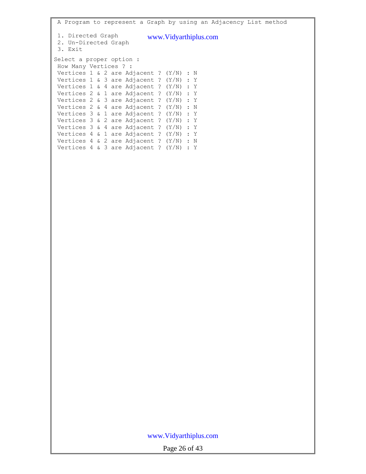| A Program to represent a Graph by using an Adjacency List method                                                                                                                                                                                                                                                                                                                                                                                                                                                                                                                                     |
|------------------------------------------------------------------------------------------------------------------------------------------------------------------------------------------------------------------------------------------------------------------------------------------------------------------------------------------------------------------------------------------------------------------------------------------------------------------------------------------------------------------------------------------------------------------------------------------------------|
| 1. Directed Graph<br>www.Vidyarthiplus.com<br>2. Un-Directed Graph<br>3. Exit                                                                                                                                                                                                                                                                                                                                                                                                                                                                                                                        |
| Select a proper option :<br>How Many Vertices ? :<br>Vertices 1 & 2 are Adjacent ? $(Y/N)$ : N<br>Vertices 1 & 3 are Adjacent ? (Y/N) : Y<br>Vertices 1 & 4 are Adjacent ? (Y/N) : Y<br>Vertices 2 & 1 are Adjacent ? (Y/N) : Y<br>Vertices 2 & 3 are Adjacent ? $(Y/N)$ : Y<br>Vertices 2 & 4 are Adjacent ? $(Y/N)$ : N<br>Vertices $3 \& 1$ are Adjacent ? (Y/N) : Y<br>Vertices 3 & 2 are Adjacent ? (Y/N) : Y<br>Vertices 3 & 4 are Adjacent ? (Y/N) : Y<br>Vertices 4 & 1 are Adjacent ? $(Y/N)$ : Y<br>Vertices 4 & 2 are Adjacent ? $(Y/N)$ : N<br>Vertices 4 & 3 are Adjacent ? $(Y/N)$ : Y |
|                                                                                                                                                                                                                                                                                                                                                                                                                                                                                                                                                                                                      |
|                                                                                                                                                                                                                                                                                                                                                                                                                                                                                                                                                                                                      |

## www.Vidyarthiplus.com

Page 26 of 43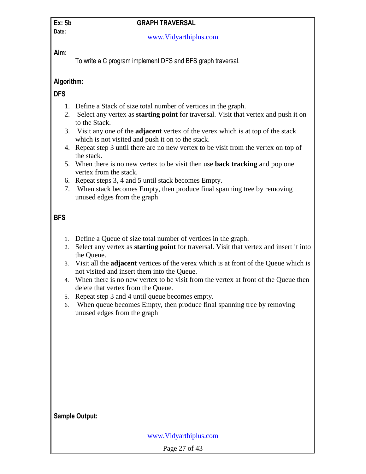# **Date:**

### **Ex: 5b GRAPH TRAVERSAL**

### www.Vidyarthiplus.com

### **Aim:**

To write a C program implement DFS and BFS graph traversal.

### **Algorithm:**

### **DFS**

- 1. Define a Stack of size total number of vertices in the graph.
- 2. Select any vertex as **starting point** for traversal. Visit that vertex and push it on to the Stack.
- 3. Visit any one of the **adjacent** vertex of the verex which is at top of the stack which is not visited and push it on to the stack.
- 4. Repeat step 3 until there are no new vertex to be visit from the vertex on top of the stack.
- 5. When there is no new vertex to be visit then use **back tracking** and pop one vertex from the stack.
- 6. Repeat steps 3, 4 and 5 until stack becomes Empty.
- 7. When stack becomes Empty, then produce final spanning tree by removing unused edges from the graph

### **BFS**

- 1. Define a Queue of size total number of vertices in the graph.
- 2. Select any vertex as **starting point** for traversal. Visit that vertex and insert it into the Queue.
- 3. Visit all the **adjacent** vertices of the verex which is at front of the Queue which is not visited and insert them into the Queue.
- 4. When there is no new vertex to be visit from the vertex at front of the Queue then delete that vertex from the Queue.
- 5. Repeat step 3 and 4 until queue becomes empty.
- 6. When queue becomes Empty, then produce final spanning tree by removing unused edges from the graph

| <b>Sample Output:</b> |  |  |
|-----------------------|--|--|
|                       |  |  |

www.Vidyarthiplus.com

Page 27 of 43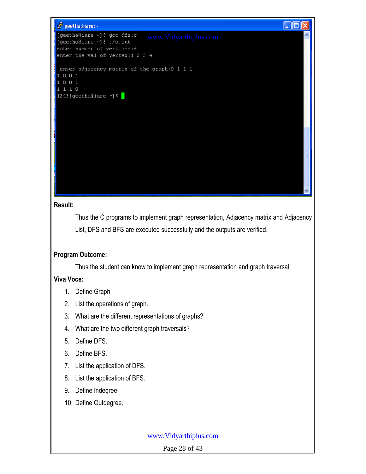

### **Result:**

Thus the C programs to implement graph representation, Adjacency matrix and Adjacency List, DFS and BFS are executed successfully and the outputs are verified.

### **Program Outcome:**

Thus the student can know to implement graph representation and graph traversal.

### **Viva Voce:**

- 1. Define Graph
- 2. List the operations of graph.
- 3. What are the different representations of graphs?
- 4. What are the two different graph traversals?
- 5. Define DFS.
- 6. Define BFS.
- 7. List the application of DFS.
- 8. List the application of BFS.
- 9. Define Indegree
- 10. Define Outdegree.

### www.Vidyarthiplus.com

Page 28 of 43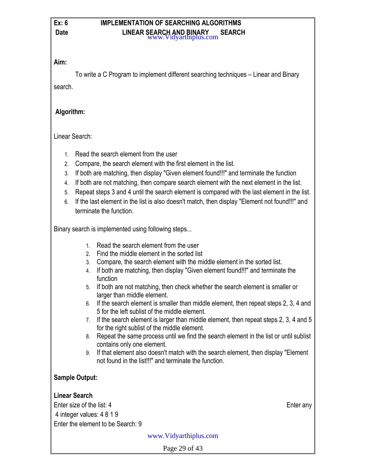#### **Ex: 6 IMPLEMENTATION OF SEARCHING ALGORITHMS Date CONTRESS EXAMPLE LINEAR SEARCH AND BINARY SEARCH** www.Vidyarthiplus.com

### **Aim:**

To write a C Program to implement different searching techniques – Linear and Binary search.

### **Algorithm:**

Linear Search:

- 1. Read the search element from the user
- 2. Compare, the search element with the first element in the list.
- 3. If both are matching, then display "Given element found!!!" and terminate the function
- 4. If both are not matching, then compare search element with the next element in the list.
- 5. Repeat steps 3 and 4 until the search element is compared with the last element in the list.
- 6. If the last element in the list is also doesn't match, then display "Element not found!!!" and terminate the function.

Binary search is implemented using following steps...

- 1. Read the search element from the user
- 2. Find the middle element in the sorted list
- 3. Compare, the search element with the middle element in the sorted list.
- 4. If both are matching, then display "Given element found!!!" and terminate the function
- 5. If both are not matching, then check whether the search element is smaller or larger than middle element.
- 6. If the search element is smaller than middle element, then repeat steps 2, 3, 4 and 5 for the left sublist of the middle element.
- 7. If the search element is larger than middle element, then repeat steps 2, 3, 4 and 5 for the right sublist of the middle element.
- 8. Repeat the same process until we find the search element in the list or until sublist contains only one element.
- 9. If that element also doesn't match with the search element, then display "Element not found in the list!!!" and terminate the function.

### **Sample Output:**

### **Linear Search**

Enter size of the list: 4 Enter any 4 integer values: 4 8 1 9 Enter the element to be Search: 9

www.Vidyarthiplus.com

Page 29 of 43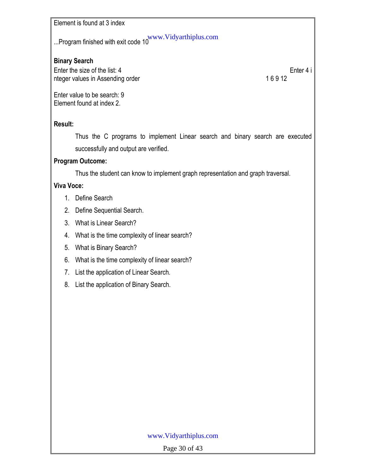Element is found at 3 index

...Program finished with exit code 10 $^{\rm www.Vidyarthiplus.com}$ 

### **Binary Search**

Enter the size of the list: 4 Enter 4 i nteger values in Assending order 16 9 12

Enter value to be search: 9 Element found at index 2.

### **Result:**

Thus the C programs to implement Linear search and binary search are executed successfully and output are verified.

### **Program Outcome:**

Thus the student can know to implement graph representation and graph traversal.

### **Viva Voce:**

- 1. Define Search
- 2. Define Sequential Search.
- 3. What is Linear Search?
- 4. What is the time complexity of linear search?
- 5. What is Binary Search?
- 6. What is the time complexity of linear search?
- 7. List the application of Linear Search.
- 8. List the application of Binary Search.

### www.Vidyarthiplus.com

Page 30 of 43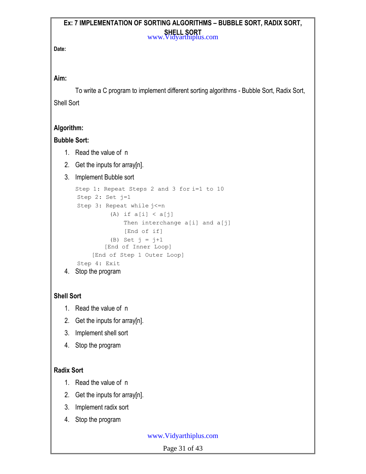#### **Ex: 7 IMPLEMENTATION OF SORTING ALGORITHMS – BUBBLE SORT, RADIX SORT, SHELL SORT** www.Vidyarthiplus.com

**Date:**

### **Aim:**

To write a C program to implement different sorting algorithms - Bubble Sort, Radix Sort, Shell Sort

### **Algorithm:**

### **Bubble Sort:**

- 1. Read the value of n
- 2. Get the inputs for array[n].
- 3. Implement Bubble sort

```
Step 1: Repeat Steps 2 and 3 for i=1 to 10
   Step 2: Set j=1
   Step 3: Repeat while j<=n(A) if a[i] < a[j]Then interchange a[i] and a[j]
                [End of if]
            (B) Set j = j+1[End of Inner Loop]
       [End of Step 1 Outer Loop]
   Step 4: Exit
4. Stop the program
```
### **Shell Sort**

- 1. Read the value of n
- 2. Get the inputs for array[n].
- 3. Implement shell sort
- 4. Stop the program

### **Radix Sort**

- 1. Read the value of n
- 2. Get the inputs for array[n].
- 3. Implement radix sort
- 4. Stop the program

### www.Vidyarthiplus.com

Page 31 of 43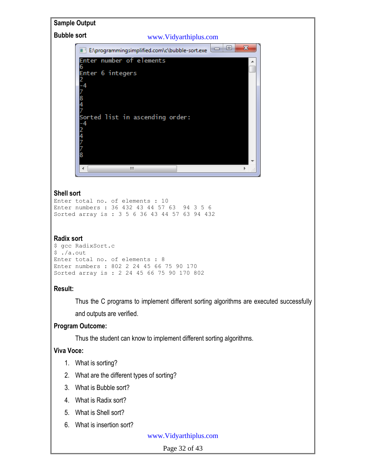

#### **Radix sort**

```
$ gcc RadixSort.c
$./a.outEnter total no. of elements : 8
Enter numbers : 802 2 24 45 66 75 90 170
Sorted array is : 2 24 45 66 75 90 170 802
```
### **Result:**

Thus the C programs to implement different sorting algorithms are executed successfully and outputs are verified.

### **Program Outcome:**

Thus the student can know to implement different sorting algorithms.

### **Viva Voce:**

- 1. What is sorting?
- 2. What are the different types of sorting?
- 3. What is Bubble sort?
- 4. What is Radix sort?
- 5. What is Shell sort?
- 6. What is insertion sort?

#### www.Vidyarthiplus.com

Page 32 of 43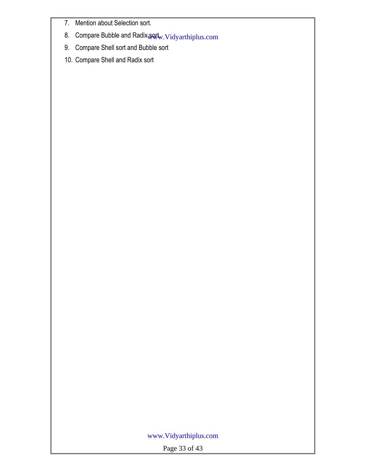- 7. Mention about Selection sort.
- 8. Compare Bubble and Radix sort<sub>w. Vidyarthiplus.com</sub>
- 9. Compare Shell sort and Bubble sort
- 10. Compare Shell and Radix sort

### www.Vidyarthiplus.com

Page 33 of 43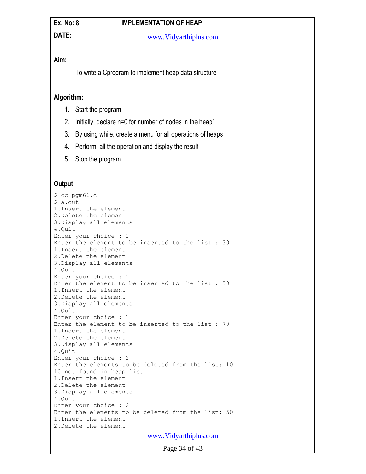### **Ex. No: 8 IMPLEMENTATION OF HEAP**

**DATE:**

#### www.Vidyarthiplus.com

### **Aim:**

To write a Cprogram to implement heap data structure

### **Algorithm:**

- 1. Start the program
- 2. Initially, declare n=0 for number of nodes in the heap'
- 3. By using while, create a menu for all operations of heaps
- 4. Perform all the operation and display the result
- 5. Stop the program

### **Output:**

```
$ cc pgm66.c
$ a.out
1.Insert the element
2.Delete the element
3.Display all elements
4.Quit
Enter your choice : 1
Enter the element to be inserted to the list : 30
1.Insert the element
2.Delete the element
3.Display all elements
4.Quit
Enter your choice : 1
Enter the element to be inserted to the list : 50
1.Insert the element
2.Delete the element
3.Display all elements
4.Quit
Enter your choice : 1
Enter the element to be inserted to the list : 70
1.Insert the element
2.Delete the element
3.Display all elements
4.Quit
Enter your choice : 2
Enter the elements to be deleted from the list: 10
10 not found in heap list
1.Insert the element
2.Delete the element
3.Display all elements
4.Quit
Enter your choice : 2
Enter the elements to be deleted from the list: 50
1.Insert the element
2.Delete the element
                           www.Vidyarthiplus.com
```
Page 34 of 43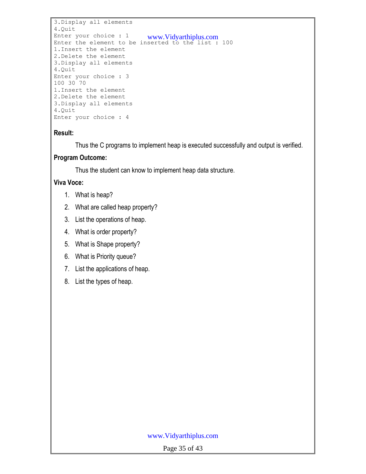```
3.Display all elements
4.Quit
Enter your choice : 1 www.Vidyarthiplus.com
Enter the element to be inserted to the list : 100
1.Insert the element
2.Delete the element
3.Display all elements
4.Quit
Enter your choice : 3
100 30 70
1.Insert the element
2.Delete the element
3.Display all elements
4.Quit
Enter your choice : 4
```
### **Result:**

Thus the C programs to implement heap is executed successfully and output is verified.

### **Program Outcome:**

Thus the student can know to implement heap data structure.

### **Viva Voce:**

- 1. What is heap?
- 2. What are called heap property?
- 3. List the operations of heap.
- 4. What is order property?
- 5. What is Shape property?
- 6. What is Priority queue?
- 7. List the applications of heap.
- 8. List the types of heap.

### www.Vidyarthiplus.com

Page 35 of 43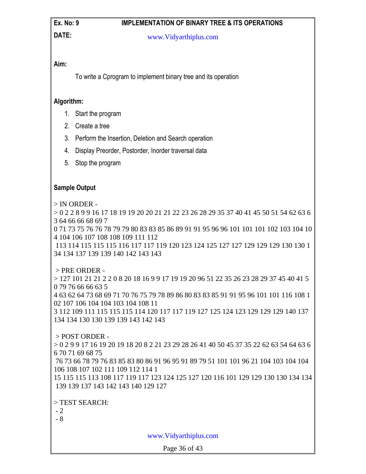### **Ex. No: 9 IMPLEMENTATION OF BINARY TREE & ITS OPERATIONS**

**DATE:**

#### www.Vidyarthiplus.com

### **Aim:**

To write a Cprogram to implement binary tree and its operation

### **Algorithm:**

- 1. Start the program
- 2. Create a tree
- 3. Perform the Insertion, Deletion and Search operation
- 4. Display Preorder, Postorder, Inorder traversal data
- 5. Stop the program

### **Sample Output**

> IN ORDER -

> 0 2 2 8 9 9 16 17 18 19 19 20 20 21 21 22 23 26 28 29 35 37 40 41 45 50 51 54 62 63 6 3 64 66 66 68 69 7

0 71 73 75 76 76 78 79 79 80 83 83 85 86 89 91 91 95 96 96 101 101 101 102 103 104 10 4 104 106 107 108 108 109 111 112

113 114 115 115 115 116 117 117 119 120 123 124 125 127 127 129 129 129 130 130 1 34 134 137 139 139 140 142 143 143

### > PRE ORDER -

> 127 101 21 21 2 2 0 8 20 18 16 9 9 17 19 19 20 96 51 22 35 26 23 28 29 37 45 40 41 5 79 76 66 66 63 5 63 62 64 73 68 69 71 70 76 75 79 78 89 86 80 83 83 85 91 91 95 96 101 101 116 108 1 107 106 104 104 103 104 108 11

3 112 109 111 115 115 115 114 120 117 117 119 127 125 124 123 129 129 129 140 137 134 134 130 130 139 139 143 142 143

### > POST ORDER -

> 0 2 9 9 17 16 19 20 19 18 20 8 2 21 23 29 28 26 41 40 50 45 37 35 22 62 63 54 64 63 6 6 70 71 69 68 75

76 73 66 78 79 76 83 85 83 80 86 91 96 95 91 89 79 51 101 101 96 21 104 103 104 104 106 108 107 102 111 109 112 114 1

15 115 115 113 108 117 119 117 123 124 125 127 120 116 101 129 129 130 130 134 134 139 139 137 143 142 143 140 129 127

> TEST SEARCH:

- 2

- 8

www.Vidyarthiplus.com

Page 36 of 43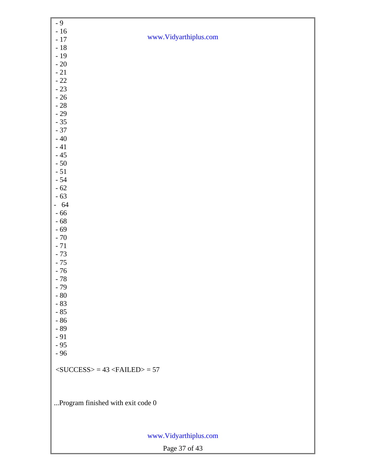| $-9$                                     |                       |  |  |  |
|------------------------------------------|-----------------------|--|--|--|
| $-16$                                    |                       |  |  |  |
| $-17$                                    | www.Vidyarthiplus.com |  |  |  |
| $-18$                                    |                       |  |  |  |
| $-19$                                    |                       |  |  |  |
| $\sim 20$                                |                       |  |  |  |
| $\sim 21$                                |                       |  |  |  |
| $-22$                                    |                       |  |  |  |
| $-23$                                    |                       |  |  |  |
| $-26$                                    |                       |  |  |  |
| $\sim 28$                                |                       |  |  |  |
| $-29$                                    |                       |  |  |  |
| $-35$                                    |                       |  |  |  |
| $-37$                                    |                       |  |  |  |
| $-40$                                    |                       |  |  |  |
| $\sim 41$                                |                       |  |  |  |
| $-45$                                    |                       |  |  |  |
| $-50$                                    |                       |  |  |  |
| $-51$                                    |                       |  |  |  |
| $-54$                                    |                       |  |  |  |
| $-62$                                    |                       |  |  |  |
| $-63$                                    |                       |  |  |  |
| $-64$                                    |                       |  |  |  |
| $-66$                                    |                       |  |  |  |
| $-68$                                    |                       |  |  |  |
| $-69$                                    |                       |  |  |  |
| $-70$                                    |                       |  |  |  |
| $-71$                                    |                       |  |  |  |
| $-73$                                    |                       |  |  |  |
| $-75$                                    |                       |  |  |  |
| $-76$                                    |                       |  |  |  |
| $-78$                                    |                       |  |  |  |
| $-79$                                    |                       |  |  |  |
| $-80$                                    |                       |  |  |  |
| $-83$                                    |                       |  |  |  |
| $-85$                                    |                       |  |  |  |
| $-86$                                    |                       |  |  |  |
| $-89$<br>$-91$                           |                       |  |  |  |
|                                          |                       |  |  |  |
| $-95$<br>$-96$                           |                       |  |  |  |
|                                          |                       |  |  |  |
| $<$ SUCCESS> = 43 <failed> = 57</failed> |                       |  |  |  |
|                                          |                       |  |  |  |
|                                          |                       |  |  |  |
|                                          |                       |  |  |  |
| Program finished with exit code 0        |                       |  |  |  |
|                                          |                       |  |  |  |
|                                          |                       |  |  |  |
|                                          |                       |  |  |  |
| www.Vidyarthiplus.com                    |                       |  |  |  |
|                                          | Page 37 of 43         |  |  |  |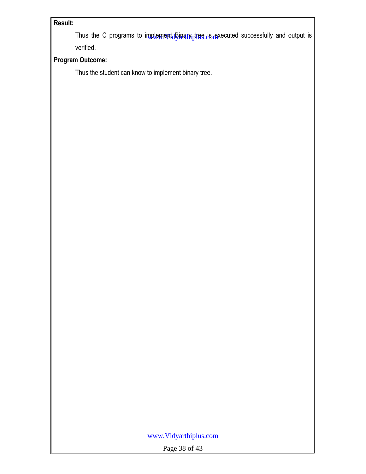### **Result:**

Thus the C programs to implement<sub>d</sub>Binary tree is acceted successfully and output is verified.

### **Program Outcome:**

Thus the student can know to implement binary tree.

### www.Vidyarthiplus.com

Page 38 of 43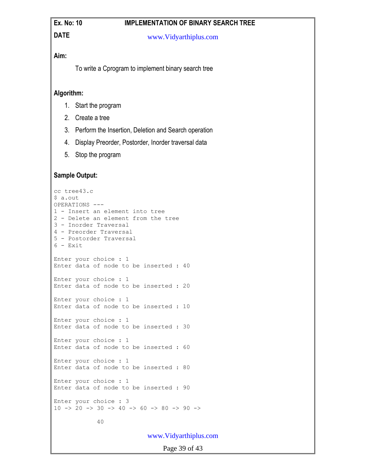### Ex. No: 10 **IMPLEMENTATION OF BINARY SEARCH TREE**

### **DATE**

#### www.Vidyarthiplus.com

### **Aim:**

To write a Cprogram to implement binary search tree

### **Algorithm:**

- 1. Start the program
- 2. Create a tree
- 3. Perform the Insertion, Deletion and Search operation
- 4. Display Preorder, Postorder, Inorder traversal data
- 5. Stop the program

### **Sample Output:**

```
cc tree43.c
$ a.out
OPERATIONS ---
1 - Insert an element into tree
2 - Delete an element from the tree
3 - Inorder Traversal
4 - Preorder Traversal
5 - Postorder Traversal
6 - ExitEnter your choice : 1
Enter data of node to be inserted : 40
Enter your choice : 1
Enter data of node to be inserted : 20
Enter your choice : 1
Enter data of node to be inserted : 10
Enter your choice : 1
Enter data of node to be inserted : 30
Enter your choice : 1
Enter data of node to be inserted : 60
Enter your choice : 1
Enter data of node to be inserted : 80
Enter your choice : 1
Enter data of node to be inserted : 90
Enter your choice : 3
10 \rightarrow 20 \rightarrow 30 \rightarrow 40 \rightarrow 60 \rightarrow 80 \rightarrow 90 \rightarrow 40
```
www.Vidyarthiplus.com

Page 39 of 43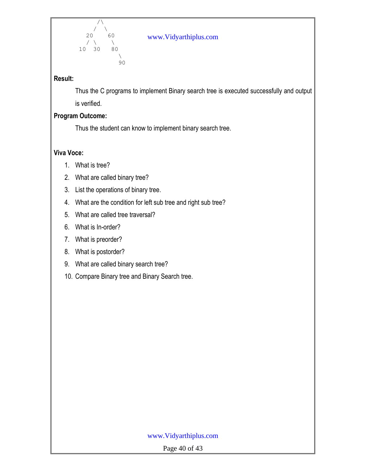

### www.Vidyarthiplus.com

### **Result:**

Thus the C programs to implement Binary search tree is executed successfully and output is verified.

### **Program Outcome:**

Thus the student can know to implement binary search tree.

### **Viva Voce:**

- 1. What is tree?
- 2. What are called binary tree?
- 3. List the operations of binary tree.
- 4. What are the condition for left sub tree and right sub tree?
- 5. What are called tree traversal?
- 6. What is In-order?
- 7. What is preorder?
- 8. What is postorder?
- 9. What are called binary search tree?
- 10. Compare Binary tree and Binary Search tree.

### www.Vidyarthiplus.com

Page 40 of 43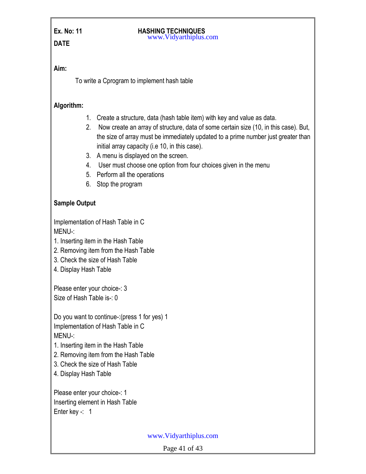#### Ex. No: 11 **HASHING TECHNIQUES** www.Vidyarthiplus.com

### **Aim:**

To write a Cprogram to implement hash table

### **Algorithm:**

- 1. Create a structure, data (hash table item) with key and value as data.
- 2. Now create an array of structure, data of some certain size (10, in this case). But, the size of array must be immediately updated to a prime number just greater than initial array capacity (i.e 10, in this case).
- 3. A menu is displayed on the screen.
- 4. User must choose one option from four choices given in the menu
- 5. Perform all the operations
- 6. Stop the program

### **Sample Output**

Implementation of Hash Table in C MENU-:

- 1. Inserting item in the Hash Table
- 2. Removing item from the Hash Table
- 3. Check the size of Hash Table
- 4. Display Hash Table

Please enter your choice-: 3 Size of Hash Table is-: 0

Do you want to continue-:(press 1 for yes) 1 Implementation of Hash Table in C MENU-:

- 1. Inserting item in the Hash Table
- 2. Removing item from the Hash Table
- 3. Check the size of Hash Table
- 4. Display Hash Table

Please enter your choice-: 1 Inserting element in Hash Table Enter key -: 1

www.Vidyarthiplus.com

Page 41 of 43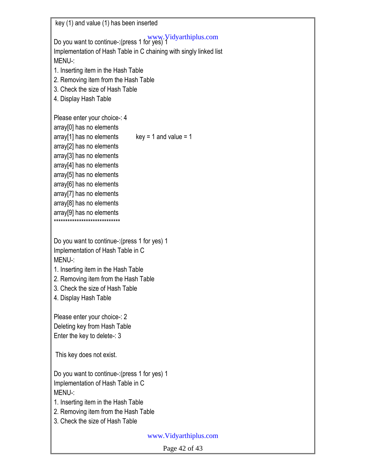key (1) and value (1) has been inserted Do you want to continue-:(press 1 for yes) 1 www.Vidyarthiplus.com Implementation of Hash Table in C chaining with singly linked list MENU-: 1. Inserting item in the Hash Table 2. Removing item from the Hash Table 3. Check the size of Hash Table 4. Display Hash Table Please enter your choice-: 4 array[0] has no elements  $array[1]$  has no elements key = 1 and value = 1 array[2] has no elements array[3] has no elements array[4] has no elements array[5] has no elements array[6] has no elements array[7] has no elements array[8] has no elements array[9] has no elements \*\*\*\*\*\*\*\*\*\*\*\*\*\*\*\*\*\*\*\*\*\*\*\*\*\*\*\*\* Do you want to continue-:(press 1 for yes) 1 Implementation of Hash Table in C MENU-: 1. Inserting item in the Hash Table 2. Removing item from the Hash Table 3. Check the size of Hash Table 4. Display Hash Table Please enter your choice-: 2 Deleting key from Hash Table Enter the key to delete-: 3 This key does not exist. Do you want to continue-:(press 1 for yes) 1 Implementation of Hash Table in C MENU-: 1. Inserting item in the Hash Table 2. Removing item from the Hash Table 3. Check the size of Hash Table www.Vidyarthiplus.com

Page 42 of 43